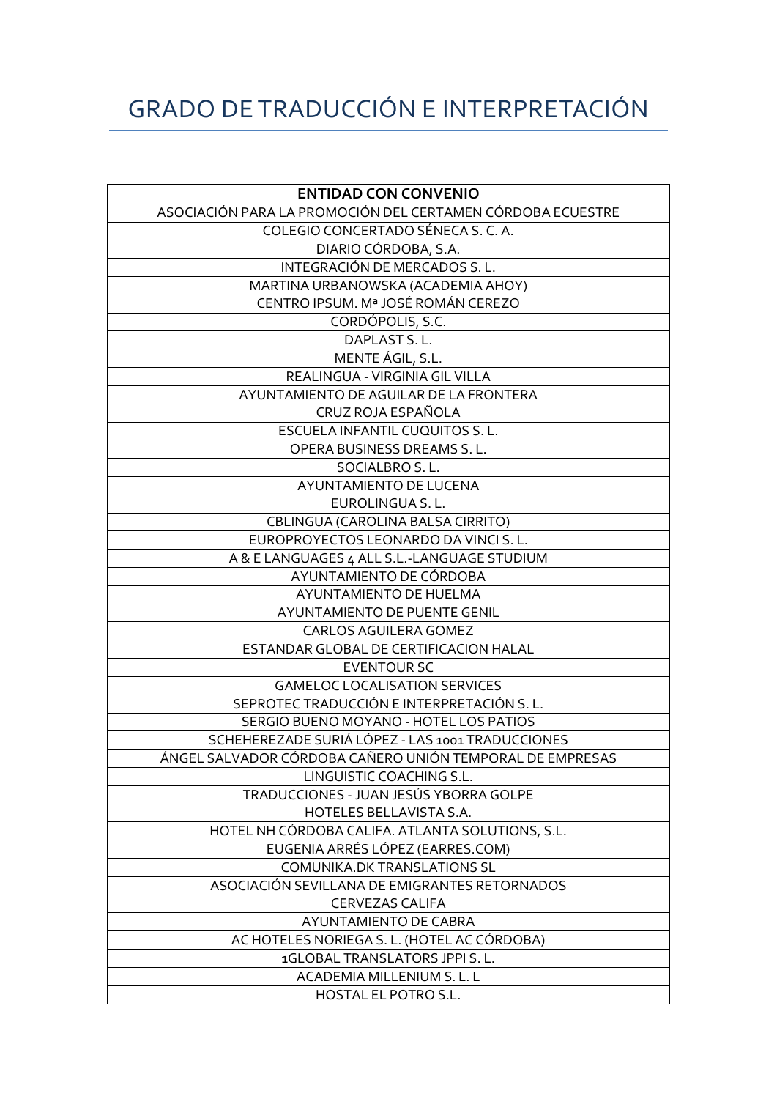## GRADO DE TRADUCCIÓN E INTERPRETACIÓN

| <b>ENTIDAD CON CONVENIO</b>                                |
|------------------------------------------------------------|
| ASOCIACIÓN PARA LA PROMOCIÓN DEL CERTAMEN CÓRDOBA ECUESTRE |
| COLEGIO CONCERTADO SÉNECA S. C. A.                         |
| DIARIO CÓRDOBA, S.A.                                       |
| INTEGRACIÓN DE MERCADOS S.L.                               |
| MARTINA URBANOWSKA (ACADEMIA AHOY)                         |
| CENTRO IPSUM. Mª JOSÉ ROMÁN CEREZO                         |
| CORDÓPOLIS, S.C.                                           |
| DAPLAST S.L.                                               |
| MENTE ÁGIL, S.L.                                           |
| REALINGUA - VIRGINIA GIL VILLA                             |
| AYUNTAMIENTO DE AGUILAR DE LA FRONTERA                     |
| CRUZ ROJA ESPAÑOLA                                         |
| ESCUELA INFANTIL CUQUITOS S. L.                            |
| <b>OPERA BUSINESS DREAMS S.L.</b>                          |
| SOCIALBRO S.L.                                             |
| AYUNTAMIENTO DE LUCENA                                     |
| EUROLINGUA S.L.                                            |
| CBLINGUA (CAROLINA BALSA CIRRITO)                          |
| EUROPROYECTOS LEONARDO DA VINCI S.L.                       |
| A & E LANGUAGES 4 ALL S.L.-LANGUAGE STUDIUM                |
| AYUNTAMIENTO DE CÓRDOBA                                    |
| AYUNTAMIENTO DE HUELMA                                     |
| AYUNTAMIENTO DE PUENTE GENIL                               |
| <b>CARLOS AGUILERA GOMEZ</b>                               |
| ESTANDAR GLOBAL DE CERTIFICACION HALAL                     |
| <b>EVENTOUR SC</b>                                         |
| <b>GAMELOC LOCALISATION SERVICES</b>                       |
| SEPROTEC TRADUCCIÓN E INTERPRETACIÓN S.L.                  |
| SERGIO BUENO MOYANO - HOTEL LOS PATIOS                     |
| SCHEHEREZADE SURIÁ LÓPEZ - LAS 1001 TRADUCCIONES           |
| ÁNGEL SALVADOR CÓRDOBA CAÑERO UNIÓN TEMPORAL DE EMPRESAS   |
| LINGUISTIC COACHING S.L.                                   |
| TRADUCCIONES - JUAN JESÚS YBORRA GOLPE                     |
| HOTELES BELLAVISTA S.A.                                    |
| HOTEL NH CÓRDOBA CALIFA. ATLANTA SOLUTIONS, S.L.           |
| EUGENIA ARRÉS LÓPEZ (EARRES.COM)                           |
| <b>COMUNIKA.DK TRANSLATIONS SL</b>                         |
| ASOCIACIÓN SEVILLANA DE EMIGRANTES RETORNADOS              |
| <b>CERVEZAS CALIFA</b>                                     |
| <b>AYUNTAMIENTO DE CABRA</b>                               |
| AC HOTELES NORIEGA S. L. (HOTEL AC CÓRDOBA)                |
| 1GLOBAL TRANSLATORS JPPI S. L.                             |
| ACADEMIA MILLENIUM S. L. L                                 |
| HOSTAL EL POTRO S.L.                                       |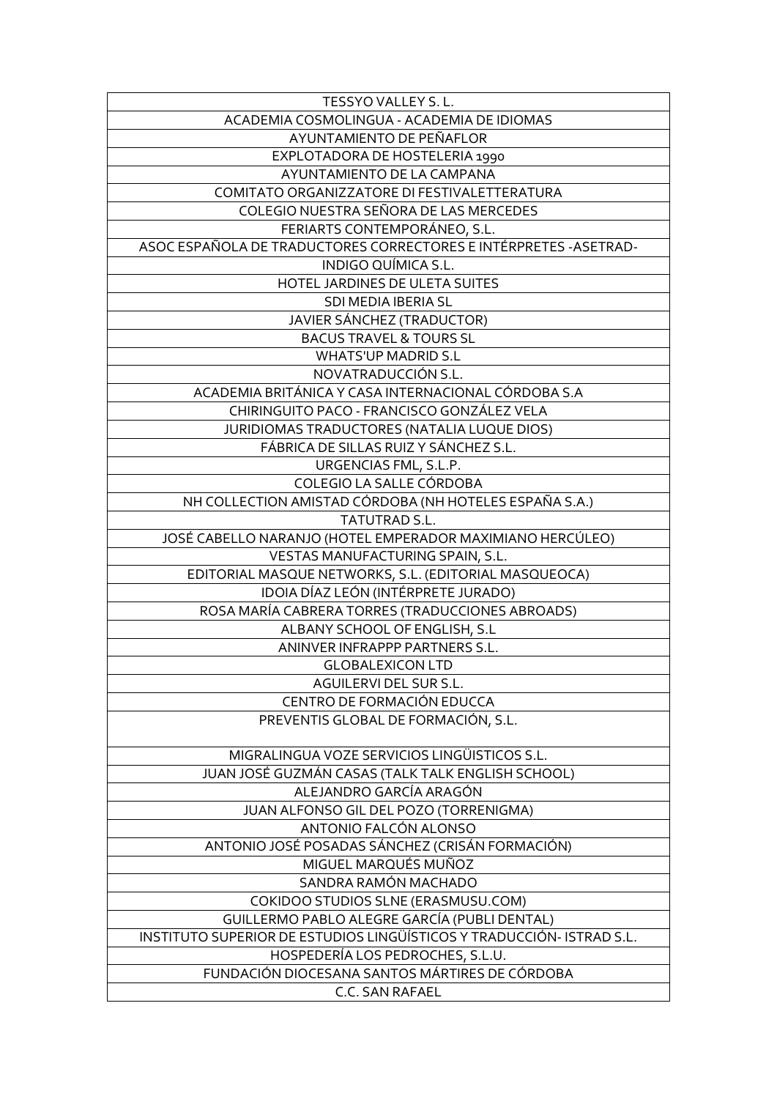| TESSYO VALLEY S.L.                                                    |
|-----------------------------------------------------------------------|
| ACADEMIA COSMOLINGUA - ACADEMIA DE IDIOMAS                            |
| AYUNTAMIENTO DE PEÑAFLOR                                              |
| EXPLOTADORA DE HOSTELERIA 1990                                        |
| AYUNTAMIENTO DE LA CAMPANA                                            |
| COMITATO ORGANIZZATORE DI FESTIVALETTERATURA                          |
| COLEGIO NUESTRA SEÑORA DE LAS MERCEDES                                |
| FERIARTS CONTEMPORÁNEO, S.L.                                          |
| ASOC ESPAÑOLA DE TRADUCTORES CORRECTORES E INTÉRPRETES - ASETRAD-     |
| INDIGO QUÍMICA S.L.                                                   |
| HOTEL JARDINES DE ULETA SUITES                                        |
| SDI MEDIA IBERIA SL                                                   |
| JAVIER SÁNCHEZ (TRADUCTOR)                                            |
| <b>BACUS TRAVEL &amp; TOURS SL</b>                                    |
| <b>WHATS'UP MADRID S.L</b>                                            |
| NOVATRADUCCIÓN S.L.                                                   |
| ACADEMIA BRITÁNICA Y CASA INTERNACIONAL CÓRDOBA S.A                   |
| CHIRINGUITO PACO - FRANCISCO GONZÁLEZ VELA                            |
| JURIDIOMAS TRADUCTORES (NATALIA LUQUE DIOS)                           |
| FÁBRICA DE SILLAS RUIZ Y SÁNCHEZ S.L.                                 |
|                                                                       |
| URGENCIAS FML, S.L.P.<br>COLEGIO LA SALLE CÓRDOBA                     |
|                                                                       |
| NH COLLECTION AMISTAD CÓRDOBA (NH HOTELES ESPAÑA S.A.)                |
| TATUTRAD S.L.                                                         |
| JOSÉ CABELLO NARANJO (HOTEL EMPERADOR MAXIMIANO HERCÚLEO)             |
| VESTAS MANUFACTURING SPAIN, S.L.                                      |
| EDITORIAL MASQUE NETWORKS, S.L. (EDITORIAL MASQUEOCA)                 |
| IDOIA DÍAZ LEÓN (INTÉRPRETE JURADO)                                   |
| ROSA MARÍA CABRERA TORRES (TRADUCCIONES ABROADS)                      |
| ALBANY SCHOOL OF ENGLISH, S.L                                         |
| ANINVER INFRAPPP PARTNERS S.L.                                        |
| <b>GLOBALEXICON LTD</b>                                               |
| AGUILERVI DEL SUR S.L.                                                |
| CENTRO DE FORMACIÓN EDUCCA                                            |
| PREVENTIS GLOBAL DE FORMACIÓN, S.L.                                   |
| MIGRALINGUA VOZE SERVICIOS LINGÜISTICOS S.L.                          |
| JUAN JOSÉ GUZMÁN CASAS (TALK TALK ENGLISH SCHOOL)                     |
| ALEJANDRO GARCÍA ARAGÓN                                               |
| JUAN ALFONSO GIL DEL POZO (TORRENIGMA)                                |
| ANTONIO FALCÓN ALONSO                                                 |
| ANTONIO JOSÉ POSADAS SÁNCHEZ (CRISÁN FORMACIÓN)                       |
| MIGUEL MARQUÉS MUÑOZ                                                  |
| SANDRA RAMÓN MACHADO                                                  |
| COKIDOO STUDIOS SLNE (ERASMUSU.COM)                                   |
| GUILLERMO PABLO ALEGRE GARCÍA (PUBLI DENTAL)                          |
| INSTITUTO SUPERIOR DE ESTUDIOS LINGÜÍSTICOS Y TRADUCCIÓN- ISTRAD S.L. |
| HOSPEDERÍA LOS PEDROCHES, S.L.U.                                      |
| FUNDACIÓN DIOCESANA SANTOS MÁRTIRES DE CÓRDOBA                        |
| C.C. SAN RAFAEL                                                       |
|                                                                       |